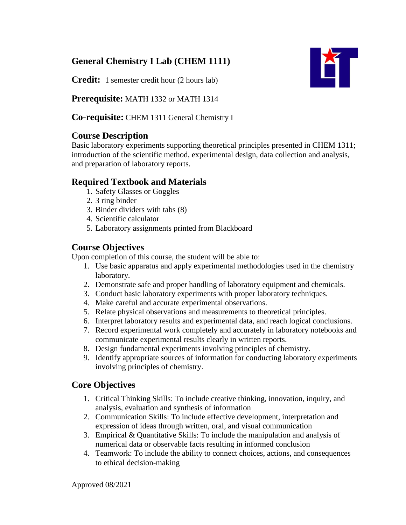# **General Chemistry I Lab (CHEM 1111)**

**Credit:** 1 semester credit hour (2 hours lab)

**Prerequisite:** MATH 1332 or MATH 1314

**Co-requisite:** CHEM 1311 General Chemistry I

## **Course Description**

Basic laboratory experiments supporting theoretical principles presented in CHEM 1311; introduction of the scientific method, experimental design, data collection and analysis, and preparation of laboratory reports.

## **Required Textbook and Materials**

- 1. Safety Glasses or Goggles
- 2. 3 ring binder
- 3. Binder dividers with tabs (8)
- 4. Scientific calculator
- 5. Laboratory assignments printed from Blackboard

## **Course Objectives**

Upon completion of this course, the student will be able to:

- 1. Use basic apparatus and apply experimental methodologies used in the chemistry laboratory.
- 2. Demonstrate safe and proper handling of laboratory equipment and chemicals.
- 3. Conduct basic laboratory experiments with proper laboratory techniques.
- 4. Make careful and accurate experimental observations.
- 5. Relate physical observations and measurements to theoretical principles.
- 6. Interpret laboratory results and experimental data, and reach logical conclusions.
- 7. Record experimental work completely and accurately in laboratory notebooks and communicate experimental results clearly in written reports.
- 8. Design fundamental experiments involving principles of chemistry.
- 9. Identify appropriate sources of information for conducting laboratory experiments involving principles of chemistry.

## **Core Objectives**

- 1. Critical Thinking Skills: To include creative thinking, innovation, inquiry, and analysis, evaluation and synthesis of information
- 2. Communication Skills: To include effective development, interpretation and expression of ideas through written, oral, and visual communication
- 3. Empirical & Quantitative Skills: To include the manipulation and analysis of numerical data or observable facts resulting in informed conclusion
- 4. Teamwork: To include the ability to connect choices, actions, and consequences to ethical decision-making



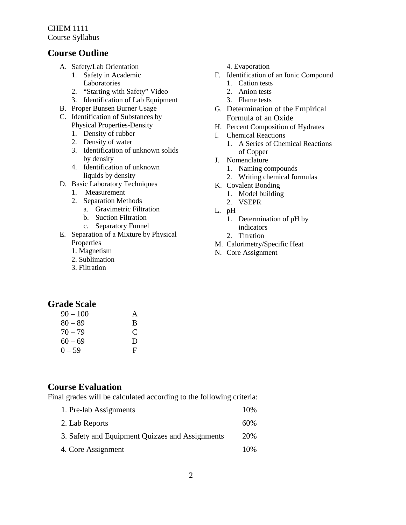CHEM 1111 Course Syllabus

### **Course Outline**

- A. Safety/Lab Orientation
	- 1. Safety in Academic Laboratories
	- 2. "Starting with Safety" Video
	- 3. Identification of Lab Equipment
- B. Proper Bunsen Burner Usage
- C. Identification of Substances by Physical Properties-Density
	- 1. Density of rubber
	- 2. Density of water
	- 3. Identification of unknown solids by density
	- 4. Identification of unknown liquids by density
- D. Basic Laboratory Techniques
	- 1. Measurement
	- 2. Separation Methods
		- a. Gravimetric Filtration
		- b. Suction Filtration
		- c. Separatory Funnel
- E. Separation of a Mixture by Physical Properties
	- 1. Magnetism
	- 2. Sublimation
	- 3. Filtration

#### 4. Evaporation

- F. Identification of an Ionic Compound
	- 1. Cation tests
	- 2. Anion tests 3. Flame tests
- G. Determination of the Empirical
- Formula of an Oxide
- H. Percent Composition of Hydrates
- I. Chemical Reactions
	- 1. A Series of Chemical Reactions of Copper
- J. Nomenclature
	- 1. Naming compounds
	- 2. Writing chemical formulas
- K. Covalent Bonding
	- 1. Model building
	- 2. VSEPR
- L. pH
	- 1. Determination of pH by indicators
	- 2. Titration
- M. Calorimetry/Specific Heat
- N. Core Assignment

## **Grade Scale**

| $90 - 100$ | A |
|------------|---|
| $80 - 89$  | B |
| $70 - 79$  | C |
| $60 - 69$  | D |
| $0 - 59$   | F |

#### **Course Evaluation**

Final grades will be calculated according to the following criteria:

1. Pre-lab Assignments 10% 2. Lab Reports 60% 3. Safety and Equipment Quizzes and Assignments 4. Core Assignment 20% 10%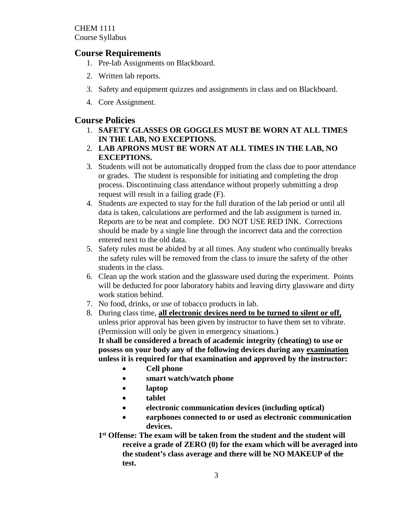CHEM 1111 Course Syllabus

### **Course Requirements**

- 1. Pre-lab Assignments on Blackboard.
- 2. Written lab reports.
- 3. Safety and equipment quizzes and assignments in class and on Blackboard.
- 4. Core Assignment.

#### **Course Policies**

- 1. **SAFETY GLASSES OR GOGGLES MUST BE WORN AT ALL TIMES IN THE LAB, NO EXCEPTIONS.**
- 2. **LAB APRONS MUST BE WORN AT ALL TIMES IN THE LAB, NO EXCEPTIONS.**
- 3. Students will not be automatically dropped from the class due to poor attendance or grades. The student is responsible for initiating and completing the drop process. Discontinuing class attendance without properly submitting a drop request will result in a failing grade (F).
- 4. Students are expected to stay for the full duration of the lab period or until all data is taken, calculations are performed and the lab assignment is turned in. Reports are to be neat and complete. DO NOT USE RED INK. Corrections should be made by a single line through the incorrect data and the correction entered next to the old data.
- 5. Safety rules must be abided by at all times. Any student who continually breaks the safety rules will be removed from the class to insure the safety of the other students in the class.
- 6. Clean up the work station and the glassware used during the experiment. Points will be deducted for poor laboratory habits and leaving dirty glassware and dirty work station behind.
- 7. No food, drinks, or use of tobacco products in lab.
- 8. During class time, **all electronic devices need to be turned to silent or off,** unless prior approval has been given by instructor to have them set to vibrate. (Permission will only be given in emergency situations.)

**It shall be considered a breach of academic integrity (cheating) to use or possess on your body any of the following devices during any examination unless it is required for that examination and approved by the instructor:** 

- **Cell phone**
- **smart watch/watch phone**
- **laptop**
- **tablet**
- **electronic communication devices (including optical)**
- **earphones connected to or used as electronic communication devices.**
- **1st Offense: The exam will be taken from the student and the student will receive a grade of ZERO (0) for the exam which will be averaged into the student's class average and there will be NO MAKEUP of the test.**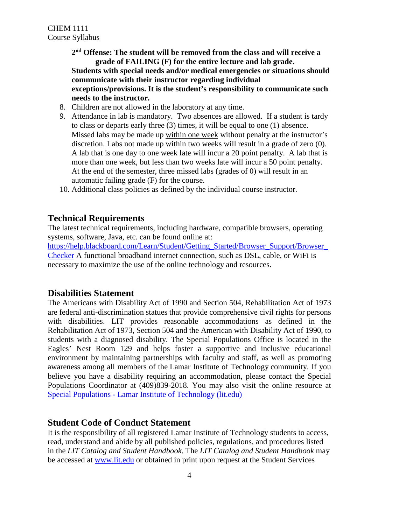**2nd Offense: The student will be removed from the class and will receive a grade of FAILING (F) for the entire lecture and lab grade. Students with special needs and/or medical emergencies or situations should communicate with their instructor regarding individual exceptions/provisions. It is the student's responsibility to communicate such needs to the instructor.**

- 8. Children are not allowed in the laboratory at any time.
- 9. Attendance in lab is mandatory. Two absences are allowed. If a student is tardy to class or departs early three (3) times, it will be equal to one (1) absence. Missed labs may be made up within one week without penalty at the instructor's discretion. Labs not made up within two weeks will result in a grade of zero (0). A lab that is one day to one week late will incur a 20 point penalty. A lab that is more than one week, but less than two weeks late will incur a 50 point penalty. At the end of the semester, three missed labs (grades of 0) will result in an automatic failing grade (F) for the course.
- 10. Additional class policies as defined by the individual course instructor.

### **Technical Requirements**

The latest technical requirements, including hardware, compatible browsers, operating systems, software, Java, etc. can be found online at:

https://help.blackboard.com/Learn/Student/Getting\_Started/Browser\_Support/Browser [Checker](https://help.blackboard.com/Learn/Student/Getting_Started/Browser_Support/Browser_Checker) A functional broadband internet connection, such as DSL, cable, or WiFi is necessary to maximize the use of the online technology and resources.

### **Disabilities Statement**

The Americans with Disability Act of 1990 and Section 504, Rehabilitation Act of 1973 are federal anti-discrimination statues that provide comprehensive civil rights for persons with disabilities. LIT provides reasonable accommodations as defined in the Rehabilitation Act of 1973, Section 504 and the American with Disability Act of 1990, to students with a diagnosed disability. The Special Populations Office is located in the Eagles' Nest Room 129 and helps foster a supportive and inclusive educational environment by maintaining partnerships with faculty and staff, as well as promoting awareness among all members of the Lamar Institute of Technology community. If you believe you have a disability requiring an accommodation, please contact the Special Populations Coordinator at (409)839-2018. You may also visit the online resource at Special Populations - [Lamar Institute of Technology \(lit.edu\)](https://www.lit.edu/student-success/special-populations)

### **Student Code of Conduct Statement**

It is the responsibility of all registered Lamar Institute of Technology students to access, read, understand and abide by all published policies, regulations, and procedures listed in the *LIT Catalog and Student Handbook*. The *LIT Catalog and Student Handbook* may be accessed at [www.lit.edu](http://www.lit.edu/) or obtained in print upon request at the Student Services